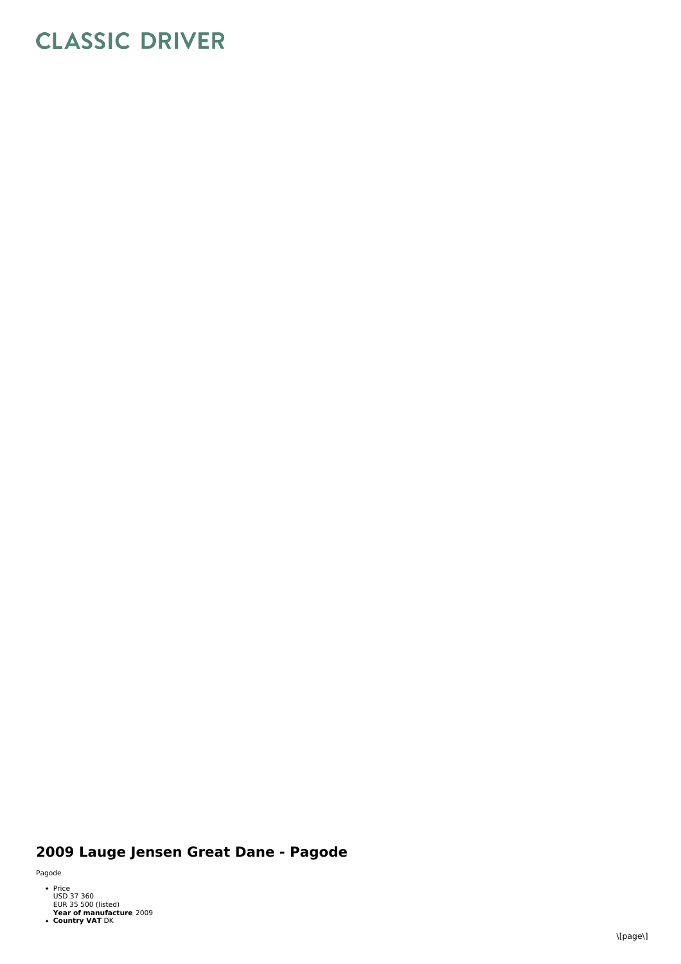## **CLASSIC DRIVER**

## 2009 Lauge Jensen Great Dane - Pagode

Pagode

- Price<br>USD 37 360<br>EUR 35 500 (listed)
- **Year of manufacture** 2009<br>**Country VAT** DK
-